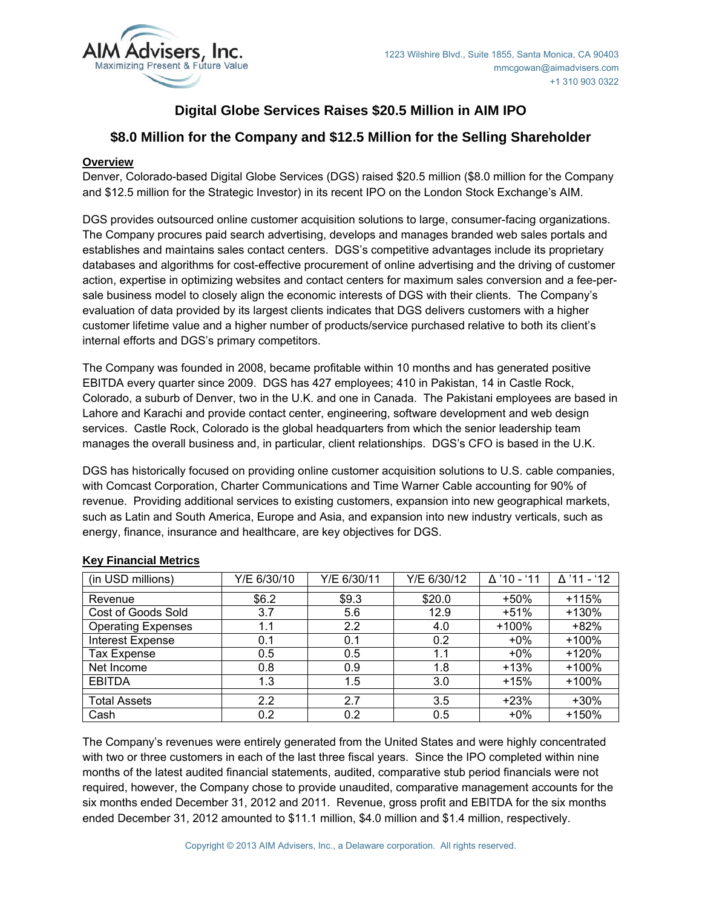

# **Digital Globe Services Raises \$20.5 Million in AIM IPO**

# **\$8.0 Million for the Company and \$12.5 Million for the Selling Shareholder**

# **Overview**

Denver, Colorado-based Digital Globe Services (DGS) raised \$20.5 million (\$8.0 million for the Company and \$12.5 million for the Strategic Investor) in its recent IPO on the London Stock Exchange's AIM.

DGS provides outsourced online customer acquisition solutions to large, consumer-facing organizations. The Company procures paid search advertising, develops and manages branded web sales portals and establishes and maintains sales contact centers. DGS's competitive advantages include its proprietary databases and algorithms for cost-effective procurement of online advertising and the driving of customer action, expertise in optimizing websites and contact centers for maximum sales conversion and a fee-persale business model to closely align the economic interests of DGS with their clients. The Company's evaluation of data provided by its largest clients indicates that DGS delivers customers with a higher customer lifetime value and a higher number of products/service purchased relative to both its client's internal efforts and DGS's primary competitors.

The Company was founded in 2008, became profitable within 10 months and has generated positive EBITDA every quarter since 2009. DGS has 427 employees; 410 in Pakistan, 14 in Castle Rock, Colorado, a suburb of Denver, two in the U.K. and one in Canada. The Pakistani employees are based in Lahore and Karachi and provide contact center, engineering, software development and web design services. Castle Rock, Colorado is the global headquarters from which the senior leadership team manages the overall business and, in particular, client relationships. DGS's CFO is based in the U.K.

DGS has historically focused on providing online customer acquisition solutions to U.S. cable companies, with Comcast Corporation, Charter Communications and Time Warner Cable accounting for 90% of revenue. Providing additional services to existing customers, expansion into new geographical markets, such as Latin and South America, Europe and Asia, and expansion into new industry verticals, such as energy, finance, insurance and healthcare, are key objectives for DGS.

| (in USD millions)         | Y/E 6/30/10 | Y/E 6/30/11 | Y/E 6/30/12 | ∆ '10 - '11 | $\Delta$ '11 - '12 |
|---------------------------|-------------|-------------|-------------|-------------|--------------------|
| Revenue                   | \$6.2       | \$9.3       | \$20.0      | $+50%$      | $+115%$            |
| Cost of Goods Sold        | 3.7         | 5.6         | 12.9        | $+51%$      | $+130%$            |
| <b>Operating Expenses</b> | 1.1         | 2.2         | 4.0         | +100%       | $+82%$             |
| <b>Interest Expense</b>   | 0.1         | 0.1         | 0.2         | $+0\%$      | $+100%$            |
| Tax Expense               | 0.5         | 0.5         | 1.1         | $+0\%$      | +120%              |
| Net Income                | 0.8         | 0.9         | 1.8         | $+13%$      | $+100%$            |
| <b>EBITDA</b>             | 1.3         | 1.5         | 3.0         | $+15%$      | $+100%$            |
| <b>Total Assets</b>       | 2.2         | 2.7         | 3.5         | $+23%$      | $+30%$             |
| Cash                      | 0.2         | 0.2         | 0.5         | $+0\%$      | +150%              |

# **Key Financial Metrics**

The Company's revenues were entirely generated from the United States and were highly concentrated with two or three customers in each of the last three fiscal years. Since the IPO completed within nine months of the latest audited financial statements, audited, comparative stub period financials were not required, however, the Company chose to provide unaudited, comparative management accounts for the six months ended December 31, 2012 and 2011. Revenue, gross profit and EBITDA for the six months ended December 31, 2012 amounted to \$11.1 million, \$4.0 million and \$1.4 million, respectively.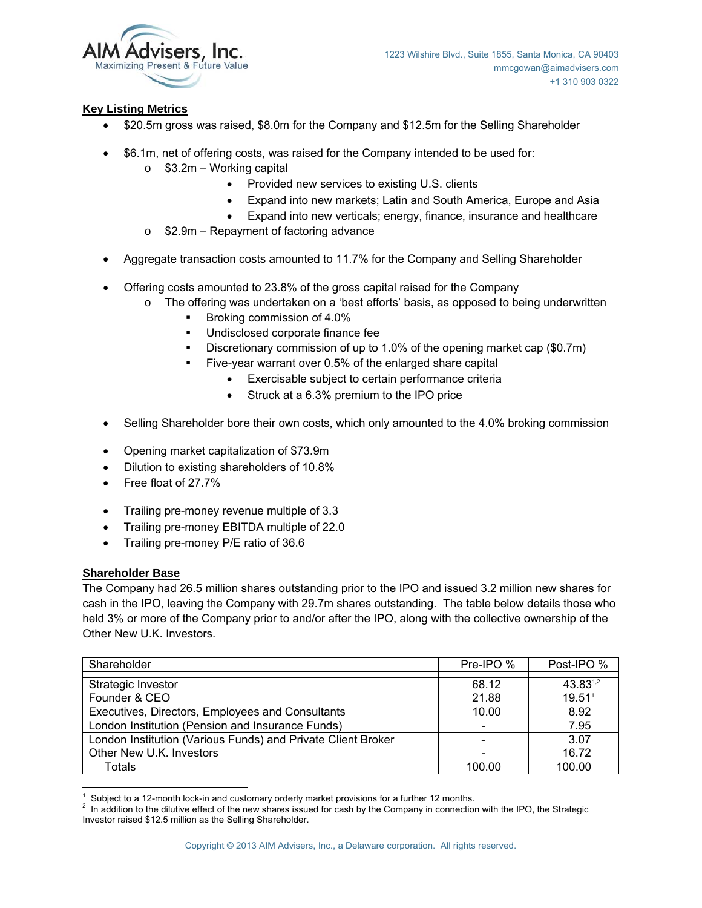

# **Key Listing Metrics**

- \$20.5m gross was raised, \$8.0m for the Company and \$12.5m for the Selling Shareholder
- \$6.1m, net of offering costs, was raised for the Company intended to be used for:
	- $\circ$  \$3.2m Working capital
		- Provided new services to existing U.S. clients
		- Expand into new markets; Latin and South America, Europe and Asia
		- Expand into new verticals; energy, finance, insurance and healthcare
	- o \$2.9m Repayment of factoring advance
- Aggregate transaction costs amounted to 11.7% for the Company and Selling Shareholder
- Offering costs amounted to 23.8% of the gross capital raised for the Company
	- o The offering was undertaken on a 'best efforts' basis, as opposed to being underwritten
		- Broking commission of 4.0%
		- Undisclosed corporate finance fee
		- Discretionary commission of up to 1.0% of the opening market cap (\$0.7m)
		- Five-year warrant over 0.5% of the enlarged share capital
			- Exercisable subject to certain performance criteria
			- Struck at a 6.3% premium to the IPO price
- Selling Shareholder bore their own costs, which only amounted to the 4.0% broking commission
- Opening market capitalization of \$73.9m
- Dilution to existing shareholders of 10.8%
- Free float of 27.7%
- Trailing pre-money revenue multiple of 3.3
- Trailing pre-money EBITDA multiple of 22.0
- Trailing pre-money P/E ratio of 36.6

# **Shareholder Base**

The Company had 26.5 million shares outstanding prior to the IPO and issued 3.2 million new shares for cash in the IPO, leaving the Company with 29.7m shares outstanding. The table below details those who held 3% or more of the Company prior to and/or after the IPO, along with the collective ownership of the Other New U.K. Investors.

| Shareholder                                                  | Pre-IPO % | Post-IPO %         |
|--------------------------------------------------------------|-----------|--------------------|
| Strategic Investor                                           | 68.12     | 43.831,2           |
| Founder & CEO                                                | 21.88     | 19.51 <sup>1</sup> |
| Executives, Directors, Employees and Consultants             | 10.00     | 8.92               |
| London Institution (Pension and Insurance Funds)             |           | 7.95               |
| London Institution (Various Funds) and Private Client Broker |           | 3.07               |
| Other New U.K. Investors                                     |           | 16.72              |
| Totals                                                       | 100.00    | 100.00             |

 1 Subject to a 12-month lock-in and customary orderly market provisions for a further 12 months. 2

<sup>&</sup>lt;sup>2</sup> In addition to the dilutive effect of the new shares issued for cash by the Company in connection with the IPO, the Strategic Investor raised \$12.5 million as the Selling Shareholder.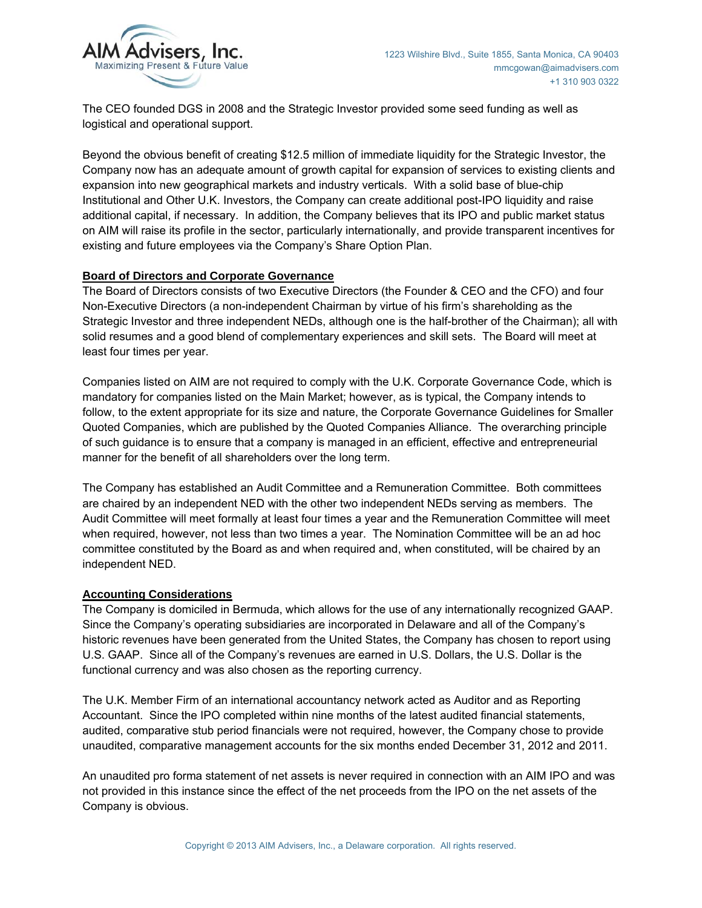

The CEO founded DGS in 2008 and the Strategic Investor provided some seed funding as well as logistical and operational support.

Beyond the obvious benefit of creating \$12.5 million of immediate liquidity for the Strategic Investor, the Company now has an adequate amount of growth capital for expansion of services to existing clients and expansion into new geographical markets and industry verticals. With a solid base of blue-chip Institutional and Other U.K. Investors, the Company can create additional post-IPO liquidity and raise additional capital, if necessary. In addition, the Company believes that its IPO and public market status on AIM will raise its profile in the sector, particularly internationally, and provide transparent incentives for existing and future employees via the Company's Share Option Plan.

#### **Board of Directors and Corporate Governance**

The Board of Directors consists of two Executive Directors (the Founder & CEO and the CFO) and four Non-Executive Directors (a non-independent Chairman by virtue of his firm's shareholding as the Strategic Investor and three independent NEDs, although one is the half-brother of the Chairman); all with solid resumes and a good blend of complementary experiences and skill sets. The Board will meet at least four times per year.

Companies listed on AIM are not required to comply with the U.K. Corporate Governance Code, which is mandatory for companies listed on the Main Market; however, as is typical, the Company intends to follow, to the extent appropriate for its size and nature, the Corporate Governance Guidelines for Smaller Quoted Companies, which are published by the Quoted Companies Alliance. The overarching principle of such guidance is to ensure that a company is managed in an efficient, effective and entrepreneurial manner for the benefit of all shareholders over the long term.

The Company has established an Audit Committee and a Remuneration Committee. Both committees are chaired by an independent NED with the other two independent NEDs serving as members. The Audit Committee will meet formally at least four times a year and the Remuneration Committee will meet when required, however, not less than two times a year. The Nomination Committee will be an ad hoc committee constituted by the Board as and when required and, when constituted, will be chaired by an independent NED.

#### **Accounting Considerations**

The Company is domiciled in Bermuda, which allows for the use of any internationally recognized GAAP. Since the Company's operating subsidiaries are incorporated in Delaware and all of the Company's historic revenues have been generated from the United States, the Company has chosen to report using U.S. GAAP. Since all of the Company's revenues are earned in U.S. Dollars, the U.S. Dollar is the functional currency and was also chosen as the reporting currency.

The U.K. Member Firm of an international accountancy network acted as Auditor and as Reporting Accountant. Since the IPO completed within nine months of the latest audited financial statements, audited, comparative stub period financials were not required, however, the Company chose to provide unaudited, comparative management accounts for the six months ended December 31, 2012 and 2011.

An unaudited pro forma statement of net assets is never required in connection with an AIM IPO and was not provided in this instance since the effect of the net proceeds from the IPO on the net assets of the Company is obvious.